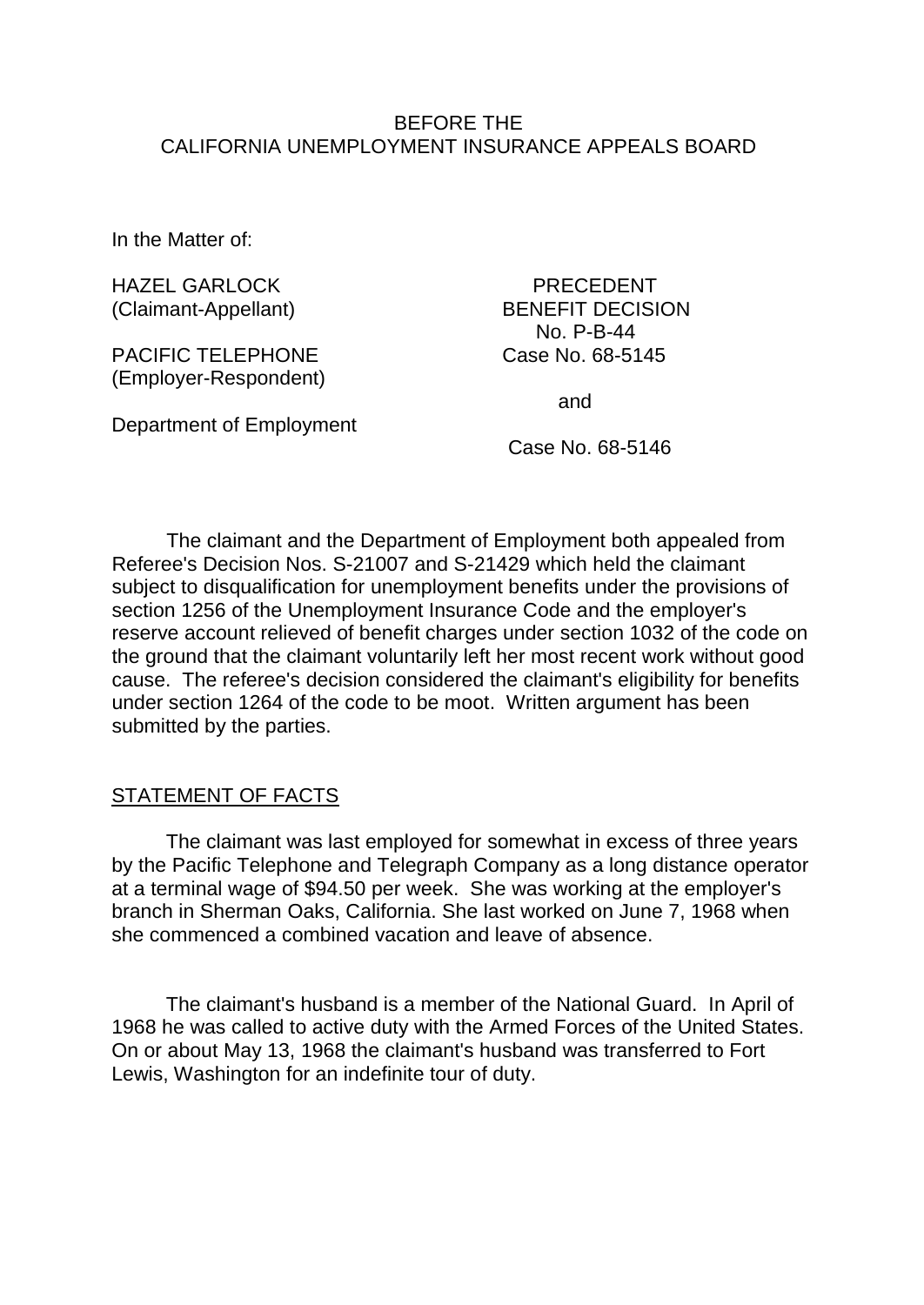## BEFORE THE CALIFORNIA UNEMPLOYMENT INSURANCE APPEALS BOARD

In the Matter of:

HAZEL GARLOCK PRECEDENT (Claimant-Appellant) BENEFIT DECISION

PACIFIC TELEPHONE Case No. 68-5145 (Employer-Respondent)

Department of Employment

No. P-B-44

and

Case No. 68-5146

The claimant and the Department of Employment both appealed from Referee's Decision Nos. S-21007 and S-21429 which held the claimant subject to disqualification for unemployment benefits under the provisions of section 1256 of the Unemployment Insurance Code and the employer's reserve account relieved of benefit charges under section 1032 of the code on the ground that the claimant voluntarily left her most recent work without good cause. The referee's decision considered the claimant's eligibility for benefits under section 1264 of the code to be moot. Written argument has been submitted by the parties.

## STATEMENT OF FACTS

The claimant was last employed for somewhat in excess of three years by the Pacific Telephone and Telegraph Company as a long distance operator at a terminal wage of \$94.50 per week. She was working at the employer's branch in Sherman Oaks, California. She last worked on June 7, 1968 when she commenced a combined vacation and leave of absence.

The claimant's husband is a member of the National Guard. In April of 1968 he was called to active duty with the Armed Forces of the United States. On or about May 13, 1968 the claimant's husband was transferred to Fort Lewis, Washington for an indefinite tour of duty.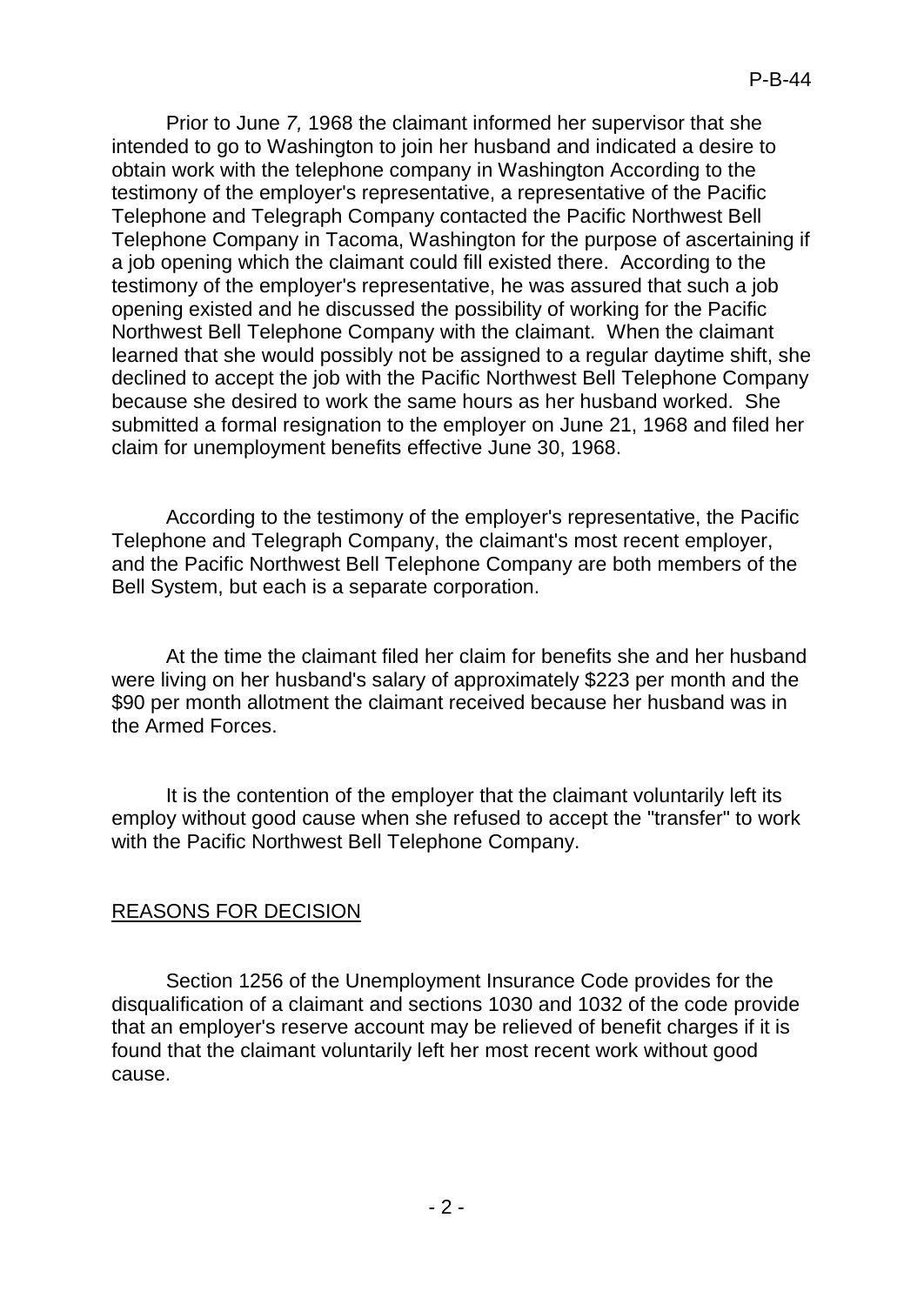Prior to June *7,* 1968 the claimant informed her supervisor that she intended to go to Washington to join her husband and indicated a desire to obtain work with the telephone company in Washington According to the testimony of the employer's representative, a representative of the Pacific Telephone and Telegraph Company contacted the Pacific Northwest Bell Telephone Company in Tacoma, Washington for the purpose of ascertaining if a job opening which the claimant could fill existed there. According to the testimony of the employer's representative, he was assured that such a job opening existed and he discussed the possibility of working for the Pacific Northwest Bell Telephone Company with the claimant. When the claimant learned that she would possibly not be assigned to a regular daytime shift, she declined to accept the job with the Pacific Northwest Bell Telephone Company because she desired to work the same hours as her husband worked. She submitted a formal resignation to the employer on June 21, 1968 and filed her claim for unemployment benefits effective June 30, 1968.

According to the testimony of the employer's representative, the Pacific Telephone and Telegraph Company, the claimant's most recent employer, and the Pacific Northwest Bell Telephone Company are both members of the Bell System, but each is a separate corporation.

At the time the claimant filed her claim for benefits she and her husband were living on her husband's salary of approximately \$223 per month and the \$90 per month allotment the claimant received because her husband was in the Armed Forces.

It is the contention of the employer that the claimant voluntarily left its employ without good cause when she refused to accept the "transfer" to work with the Pacific Northwest Bell Telephone Company.

## REASONS FOR DECISION

Section 1256 of the Unemployment Insurance Code provides for the disqualification of a claimant and sections 1030 and 1032 of the code provide that an employer's reserve account may be relieved of benefit charges if it is found that the claimant voluntarily left her most recent work without good cause.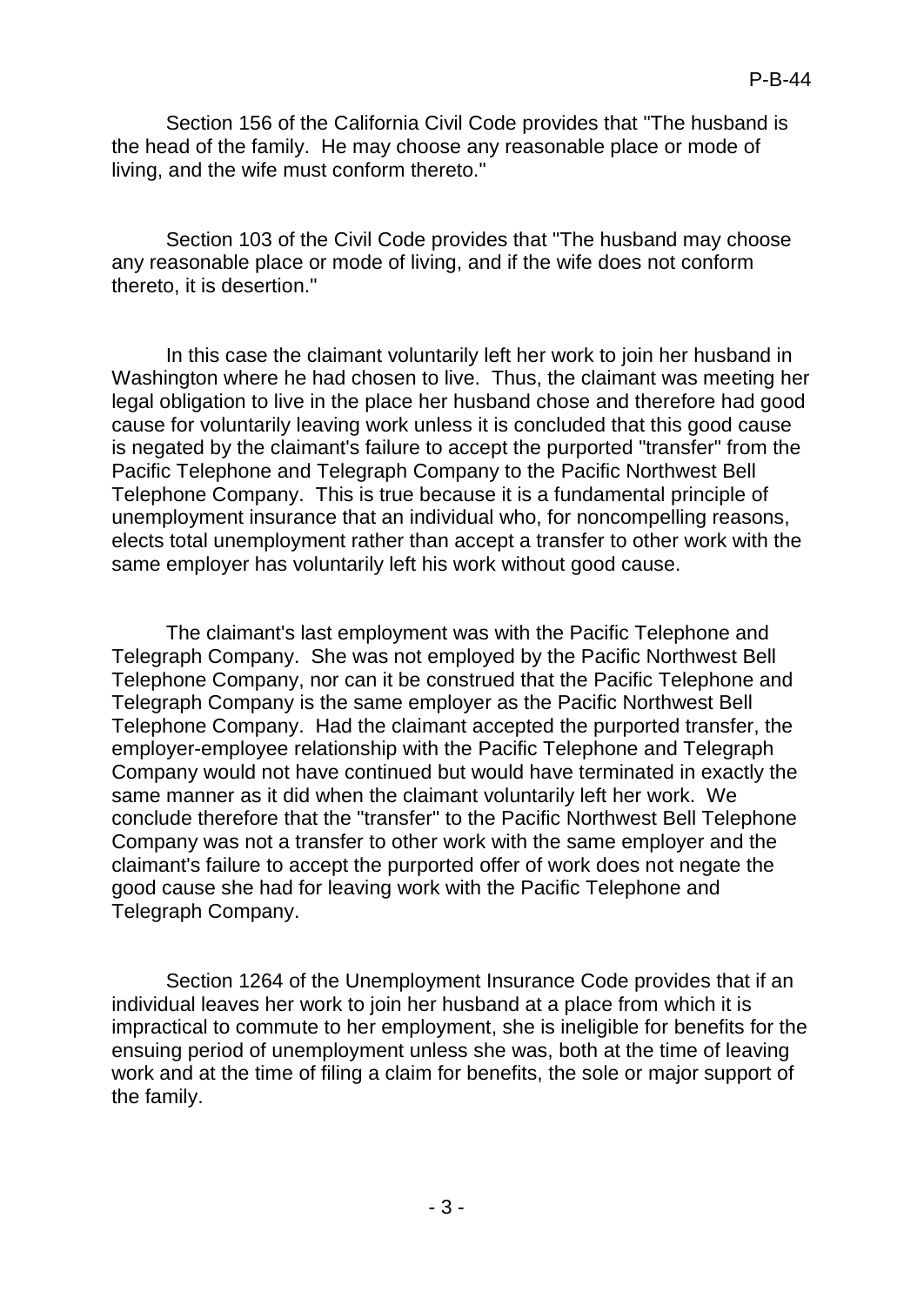Section 156 of the California Civil Code provides that "The husband is the head of the family. He may choose any reasonable place or mode of living, and the wife must conform thereto."

Section 103 of the Civil Code provides that "The husband may choose any reasonable place or mode of living, and if the wife does not conform thereto, it is desertion."

In this case the claimant voluntarily left her work to join her husband in Washington where he had chosen to live. Thus, the claimant was meeting her legal obligation to live in the place her husband chose and therefore had good cause for voluntarily leaving work unless it is concluded that this good cause is negated by the claimant's failure to accept the purported "transfer" from the Pacific Telephone and Telegraph Company to the Pacific Northwest Bell Telephone Company. This is true because it is a fundamental principle of unemployment insurance that an individual who, for noncompelling reasons, elects total unemployment rather than accept a transfer to other work with the same employer has voluntarily left his work without good cause.

The claimant's last employment was with the Pacific Telephone and Telegraph Company. She was not employed by the Pacific Northwest Bell Telephone Company, nor can it be construed that the Pacific Telephone and Telegraph Company is the same employer as the Pacific Northwest Bell Telephone Company. Had the claimant accepted the purported transfer, the employer-employee relationship with the Pacific Telephone and Telegraph Company would not have continued but would have terminated in exactly the same manner as it did when the claimant voluntarily left her work. We conclude therefore that the "transfer" to the Pacific Northwest Bell Telephone Company was not a transfer to other work with the same employer and the claimant's failure to accept the purported offer of work does not negate the good cause she had for leaving work with the Pacific Telephone and Telegraph Company.

Section 1264 of the Unemployment Insurance Code provides that if an individual leaves her work to join her husband at a place from which it is impractical to commute to her employment, she is ineligible for benefits for the ensuing period of unemployment unless she was, both at the time of leaving work and at the time of filing a claim for benefits, the sole or major support of the family.